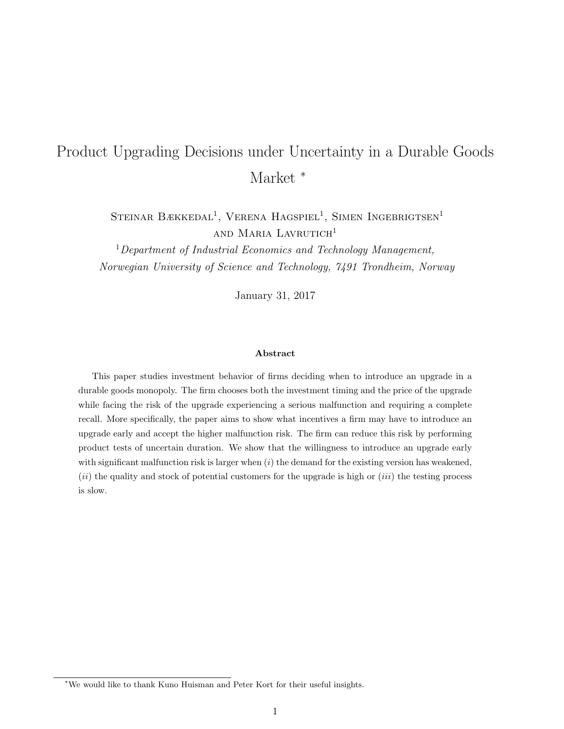# Product Upgrading Decisions under Uncertainty in a Durable Goods Market <sup>\*</sup>

Steinar Bækkedal<sup>1</sup>, Verena Hagspiel<sup>1</sup>, Simen Ingebrigtsen<sup>1</sup> and Maria Lavrutich<sup>1</sup>

 $1$ Department of Industrial Economics and Technology Management, Norwegian University of Science and Technology, 7491 Trondheim, Norway

January 31, 2017

#### Abstract

This paper studies investment behavior of firms deciding when to introduce an upgrade in a durable goods monopoly. The firm chooses both the investment timing and the price of the upgrade while facing the risk of the upgrade experiencing a serious malfunction and requiring a complete recall. More specifically, the paper aims to show what incentives a firm may have to introduce an upgrade early and accept the higher malfunction risk. The firm can reduce this risk by performing product tests of uncertain duration. We show that the willingness to introduce an upgrade early with significant malfunction risk is larger when  $(i)$  the demand for the existing version has weakened,  $(ii)$  the quality and stock of potential customers for the upgrade is high or  $(iii)$  the testing process is slow.

<sup>∗</sup>We would like to thank Kuno Huisman and Peter Kort for their useful insights.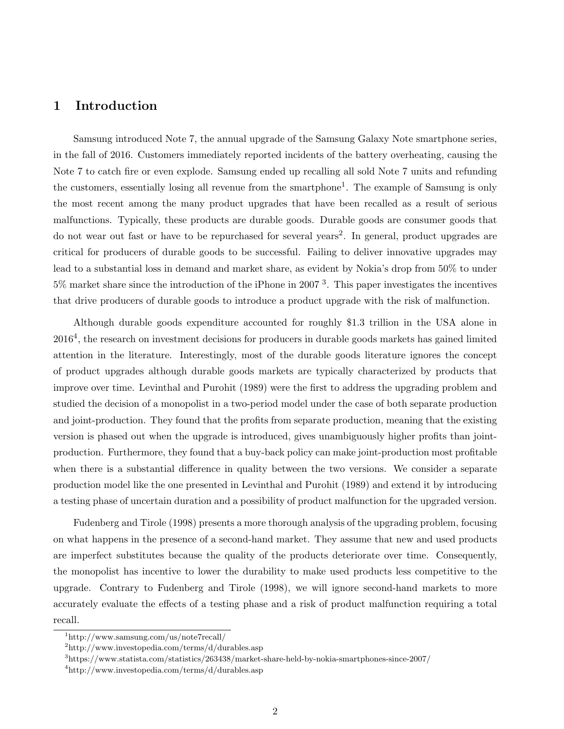### 1 Introduction

Samsung introduced Note 7, the annual upgrade of the Samsung Galaxy Note smartphone series, in the fall of 2016. Customers immediately reported incidents of the battery overheating, causing the Note 7 to catch fire or even explode. Samsung ended up recalling all sold Note 7 units and refunding the customers, essentially losing all revenue from the smartphone<sup>1</sup>. The example of Samsung is only the most recent among the many product upgrades that have been recalled as a result of serious malfunctions. Typically, these products are durable goods. Durable goods are consumer goods that do not wear out fast or have to be repurchased for several years<sup>2</sup>. In general, product upgrades are critical for producers of durable goods to be successful. Failing to deliver innovative upgrades may lead to a substantial loss in demand and market share, as evident by Nokia's drop from 50% to under  $5\%$  market share since the introduction of the iPhone in 2007<sup>3</sup>. This paper investigates the incentives that drive producers of durable goods to introduce a product upgrade with the risk of malfunction.

Although durable goods expenditure accounted for roughly \$1.3 trillion in the USA alone in  $2016<sup>4</sup>$ , the research on investment decisions for producers in durable goods markets has gained limited attention in the literature. Interestingly, most of the durable goods literature ignores the concept of product upgrades although durable goods markets are typically characterized by products that improve over time. Levinthal and Purohit (1989) were the first to address the upgrading problem and studied the decision of a monopolist in a two-period model under the case of both separate production and joint-production. They found that the profits from separate production, meaning that the existing version is phased out when the upgrade is introduced, gives unambiguously higher profits than jointproduction. Furthermore, they found that a buy-back policy can make joint-production most profitable when there is a substantial difference in quality between the two versions. We consider a separate production model like the one presented in Levinthal and Purohit (1989) and extend it by introducing a testing phase of uncertain duration and a possibility of product malfunction for the upgraded version.

Fudenberg and Tirole (1998) presents a more thorough analysis of the upgrading problem, focusing on what happens in the presence of a second-hand market. They assume that new and used products are imperfect substitutes because the quality of the products deteriorate over time. Consequently, the monopolist has incentive to lower the durability to make used products less competitive to the upgrade. Contrary to Fudenberg and Tirole (1998), we will ignore second-hand markets to more accurately evaluate the effects of a testing phase and a risk of product malfunction requiring a total recall.

<sup>1</sup>http://www.samsung.com/us/note7recall/

<sup>2</sup>http://www.investopedia.com/terms/d/durables.asp

<sup>3</sup>https://www.statista.com/statistics/263438/market-share-held-by-nokia-smartphones-since-2007/

<sup>4</sup>http://www.investopedia.com/terms/d/durables.asp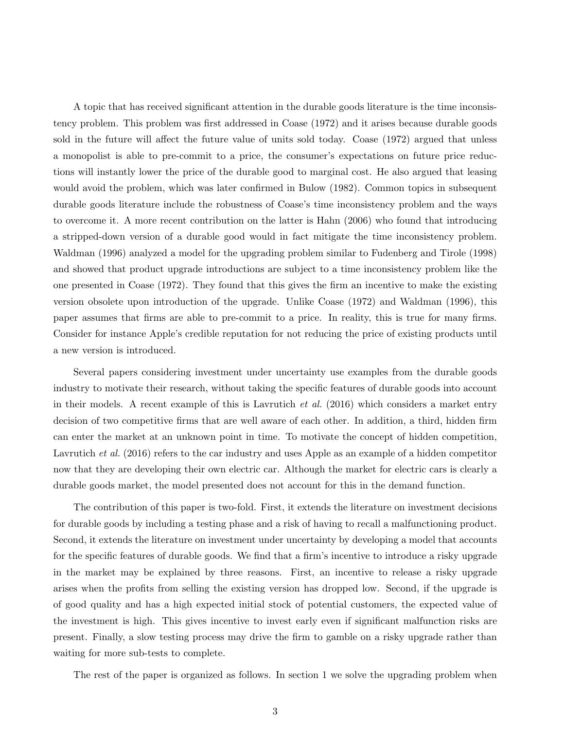A topic that has received significant attention in the durable goods literature is the time inconsistency problem. This problem was first addressed in Coase (1972) and it arises because durable goods sold in the future will affect the future value of units sold today. Coase (1972) argued that unless a monopolist is able to pre-commit to a price, the consumer's expectations on future price reductions will instantly lower the price of the durable good to marginal cost. He also argued that leasing would avoid the problem, which was later confirmed in Bulow (1982). Common topics in subsequent durable goods literature include the robustness of Coase's time inconsistency problem and the ways to overcome it. A more recent contribution on the latter is Hahn (2006) who found that introducing a stripped-down version of a durable good would in fact mitigate the time inconsistency problem. Waldman (1996) analyzed a model for the upgrading problem similar to Fudenberg and Tirole (1998) and showed that product upgrade introductions are subject to a time inconsistency problem like the one presented in Coase (1972). They found that this gives the firm an incentive to make the existing version obsolete upon introduction of the upgrade. Unlike Coase (1972) and Waldman (1996), this paper assumes that firms are able to pre-commit to a price. In reality, this is true for many firms. Consider for instance Apple's credible reputation for not reducing the price of existing products until a new version is introduced.

Several papers considering investment under uncertainty use examples from the durable goods industry to motivate their research, without taking the specific features of durable goods into account in their models. A recent example of this is Lavrutich *et al.* (2016) which considers a market entry decision of two competitive firms that are well aware of each other. In addition, a third, hidden firm can enter the market at an unknown point in time. To motivate the concept of hidden competition, Lavrutich et al. (2016) refers to the car industry and uses Apple as an example of a hidden competitor now that they are developing their own electric car. Although the market for electric cars is clearly a durable goods market, the model presented does not account for this in the demand function.

The contribution of this paper is two-fold. First, it extends the literature on investment decisions for durable goods by including a testing phase and a risk of having to recall a malfunctioning product. Second, it extends the literature on investment under uncertainty by developing a model that accounts for the specific features of durable goods. We find that a firm's incentive to introduce a risky upgrade in the market may be explained by three reasons. First, an incentive to release a risky upgrade arises when the profits from selling the existing version has dropped low. Second, if the upgrade is of good quality and has a high expected initial stock of potential customers, the expected value of the investment is high. This gives incentive to invest early even if significant malfunction risks are present. Finally, a slow testing process may drive the firm to gamble on a risky upgrade rather than waiting for more sub-tests to complete.

The rest of the paper is organized as follows. In section 1 we solve the upgrading problem when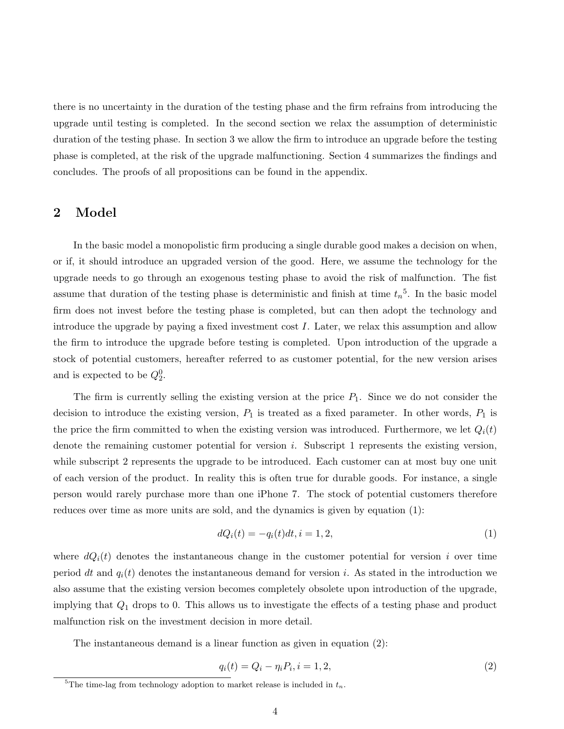there is no uncertainty in the duration of the testing phase and the firm refrains from introducing the upgrade until testing is completed. In the second section we relax the assumption of deterministic duration of the testing phase. In section 3 we allow the firm to introduce an upgrade before the testing phase is completed, at the risk of the upgrade malfunctioning. Section 4 summarizes the findings and concludes. The proofs of all propositions can be found in the appendix.

#### 2 Model

In the basic model a monopolistic firm producing a single durable good makes a decision on when, or if, it should introduce an upgraded version of the good. Here, we assume the technology for the upgrade needs to go through an exogenous testing phase to avoid the risk of malfunction. The fist assume that duration of the testing phase is deterministic and finish at time  $t_n^5$ . In the basic model firm does not invest before the testing phase is completed, but can then adopt the technology and introduce the upgrade by paying a fixed investment cost I. Later, we relax this assumption and allow the firm to introduce the upgrade before testing is completed. Upon introduction of the upgrade a stock of potential customers, hereafter referred to as customer potential, for the new version arises and is expected to be  $Q_2^0$ .

The firm is currently selling the existing version at the price  $P_1$ . Since we do not consider the decision to introduce the existing version,  $P_1$  is treated as a fixed parameter. In other words,  $P_1$  is the price the firm committed to when the existing version was introduced. Furthermore, we let  $Q_i(t)$ denote the remaining customer potential for version  $i$ . Subscript 1 represents the existing version, while subscript 2 represents the upgrade to be introduced. Each customer can at most buy one unit of each version of the product. In reality this is often true for durable goods. For instance, a single person would rarely purchase more than one iPhone 7. The stock of potential customers therefore reduces over time as more units are sold, and the dynamics is given by equation (1):

$$
dQ_i(t) = -q_i(t)dt, i = 1, 2,
$$
\n(1)

where  $dQ_i(t)$  denotes the instantaneous change in the customer potential for version i over time period dt and  $q_i(t)$  denotes the instantaneous demand for version i. As stated in the introduction we also assume that the existing version becomes completely obsolete upon introduction of the upgrade, implying that Q<sup>1</sup> drops to 0. This allows us to investigate the effects of a testing phase and product malfunction risk on the investment decision in more detail.

The instantaneous demand is a linear function as given in equation (2):

$$
q_i(t) = Q_i - \eta_i P_i, i = 1, 2,
$$
\n(2)

<sup>&</sup>lt;sup>5</sup>The time-lag from technology adoption to market release is included in  $t_n$ .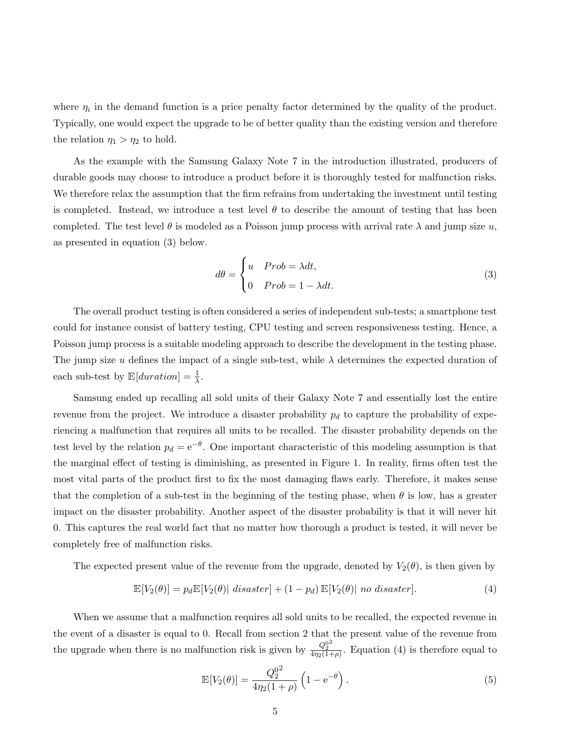where  $\eta_i$  in the demand function is a price penalty factor determined by the quality of the product. Typically, one would expect the upgrade to be of better quality than the existing version and therefore the relation  $\eta_1 > \eta_2$  to hold.

As the example with the Samsung Galaxy Note 7 in the introduction illustrated, producers of durable goods may choose to introduce a product before it is thoroughly tested for malfunction risks. We therefore relax the assumption that the firm refrains from undertaking the investment until testing is completed. Instead, we introduce a test level  $\theta$  to describe the amount of testing that has been completed. The test level  $\theta$  is modeled as a Poisson jump process with arrival rate  $\lambda$  and jump size u, as presented in equation (3) below.

$$
d\theta = \begin{cases} u & Prob = \lambda dt, \\ 0 & Prob = 1 - \lambda dt. \end{cases}
$$
 (3)

The overall product testing is often considered a series of independent sub-tests; a smartphone test could for instance consist of battery testing, CPU testing and screen responsiveness testing. Hence, a Poisson jump process is a suitable modeling approach to describe the development in the testing phase. The jump size u defines the impact of a single sub-test, while  $\lambda$  determines the expected duration of each sub-test by  $\mathbb{E}[duration] = \frac{1}{\lambda}$ .

Samsung ended up recalling all sold units of their Galaxy Note 7 and essentially lost the entire revenue from the project. We introduce a disaster probability  $p_d$  to capture the probability of experiencing a malfunction that requires all units to be recalled. The disaster probability depends on the test level by the relation  $p_d = e^{-\theta}$ . One important characteristic of this modeling assumption is that the marginal effect of testing is diminishing, as presented in Figure 1. In reality, firms often test the most vital parts of the product first to fix the most damaging flaws early. Therefore, it makes sense that the completion of a sub-test in the beginning of the testing phase, when  $\theta$  is low, has a greater impact on the disaster probability. Another aspect of the disaster probability is that it will never hit 0. This captures the real world fact that no matter how thorough a product is tested, it will never be completely free of malfunction risks.

The expected present value of the revenue from the upgrade, denoted by  $V_2(\theta)$ , is then given by

$$
\mathbb{E}[V_2(\theta)] = p_d \mathbb{E}[V_2(\theta)] \; dissater] + (1 - p_d) \, \mathbb{E}[V_2(\theta)] \; \text{no} \; dissater]. \tag{4}
$$

When we assume that a malfunction requires all sold units to be recalled, the expected revenue in the event of a disaster is equal to 0. Recall from section 2 that the present value of the revenue from the upgrade when there is no malfunction risk is given by  $\frac{Q_2^{02}}{4m(1)}$  $\frac{Q_2}{4\eta_2(1+\rho)}$ . Equation (4) is therefore equal to

$$
\mathbb{E}[V_2(\theta)] = \frac{Q_2^{0^2}}{4\eta_2(1+\rho)} \left(1 - e^{-\theta}\right).
$$
\n(5)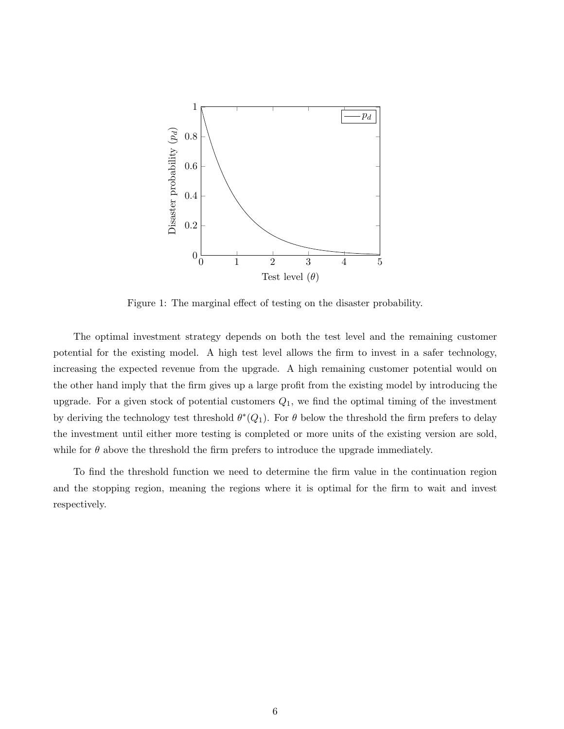

Figure 1: The marginal effect of testing on the disaster probability.

The optimal investment strategy depends on both the test level and the remaining customer potential for the existing model. A high test level allows the firm to invest in a safer technology, increasing the expected revenue from the upgrade. A high remaining customer potential would on the other hand imply that the firm gives up a large profit from the existing model by introducing the upgrade. For a given stock of potential customers  $Q_1$ , we find the optimal timing of the investment by deriving the technology test threshold  $\theta^*(Q_1)$ . For  $\theta$  below the threshold the firm prefers to delay the investment until either more testing is completed or more units of the existing version are sold, while for  $\theta$  above the threshold the firm prefers to introduce the upgrade immediately.

To find the threshold function we need to determine the firm value in the continuation region and the stopping region, meaning the regions where it is optimal for the firm to wait and invest respectively.